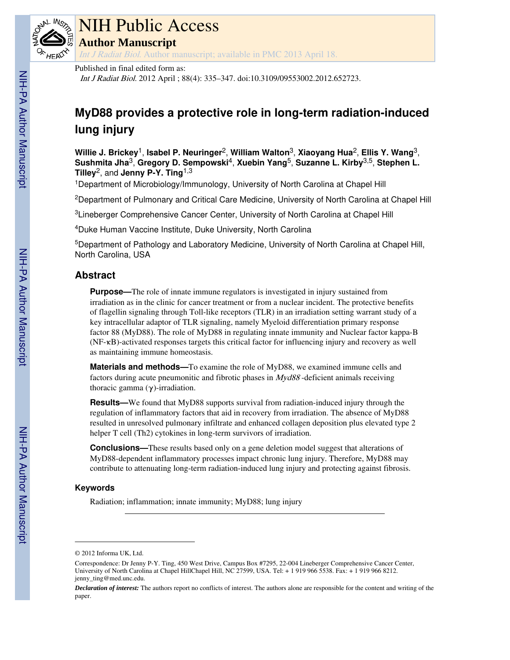

# NIH Public Access

**Author Manuscript**

Int J Radiat Biol. Author manuscript; available in PMC 2013 April 18.

Published in final edited form as:

Int J Radiat Biol. 2012 April ; 88(4): 335–347. doi:10.3109/09553002.2012.652723.

## **MyD88 provides a protective role in long-term radiation-induced lung injury**

**Willie J. Brickey**1, **Isabel P. Neuringer**2, **William Walton**3, **Xiaoyang Hua**2, **Ellis Y. Wang**3, **Sushmita Jha**3, **Gregory D. Sempowski**4, **Xuebin Yang**5, **Suzanne L. Kirby**3,5, **Stephen L. Tilley**2, and **Jenny P-Y. Ting**1,3

<sup>1</sup>Department of Microbiology/Immunology, University of North Carolina at Chapel Hill

<sup>2</sup>Department of Pulmonary and Critical Care Medicine, University of North Carolina at Chapel Hill

<sup>3</sup>Lineberger Comprehensive Cancer Center, University of North Carolina at Chapel Hill

<sup>4</sup>Duke Human Vaccine Institute, Duke University, North Carolina

<sup>5</sup>Department of Pathology and Laboratory Medicine, University of North Carolina at Chapel Hill, North Carolina, USA

### **Abstract**

**Purpose—**The role of innate immune regulators is investigated in injury sustained from irradiation as in the clinic for cancer treatment or from a nuclear incident. The protective benefits of flagellin signaling through Toll-like receptors (TLR) in an irradiation setting warrant study of a key intracellular adaptor of TLR signaling, namely Myeloid differentiation primary response factor 88 (MyD88). The role of MyD88 in regulating innate immunity and Nuclear factor kappa-B (NF-κB)-activated responses targets this critical factor for influencing injury and recovery as well as maintaining immune homeostasis.

**Materials and methods—**To examine the role of MyD88, we examined immune cells and factors during acute pneumonitic and fibrotic phases in  $Myd88$ -deficient animals receiving thoracic gamma  $(γ)$ -irradiation.

**Results—**We found that MyD88 supports survival from radiation-induced injury through the regulation of inflammatory factors that aid in recovery from irradiation. The absence of MyD88 resulted in unresolved pulmonary infiltrate and enhanced collagen deposition plus elevated type 2 helper T cell (Th2) cytokines in long-term survivors of irradiation.

**Conclusions—**These results based only on a gene deletion model suggest that alterations of MyD88-dependent inflammatory processes impact chronic lung injury. Therefore, MyD88 may contribute to attenuating long-term radiation-induced lung injury and protecting against fibrosis.

#### **Keywords**

Radiation; inflammation; innate immunity; MyD88; lung injury

<sup>© 2012</sup> Informa UK, Ltd.

Correspondence: Dr Jenny P-Y. Ting, 450 West Drive, Campus Box #7295, 22-004 Lineberger Comprehensive Cancer Center, University of North Carolina at Chapel HillChapel Hill, NC 27599, USA. Tel: + 1 919 966 5538. Fax: + 1 919 966 8212. jenny\_ting@med.unc.edu.

*Declaration of interest:* The authors report no conflicts of interest. The authors alone are responsible for the content and writing of the paper.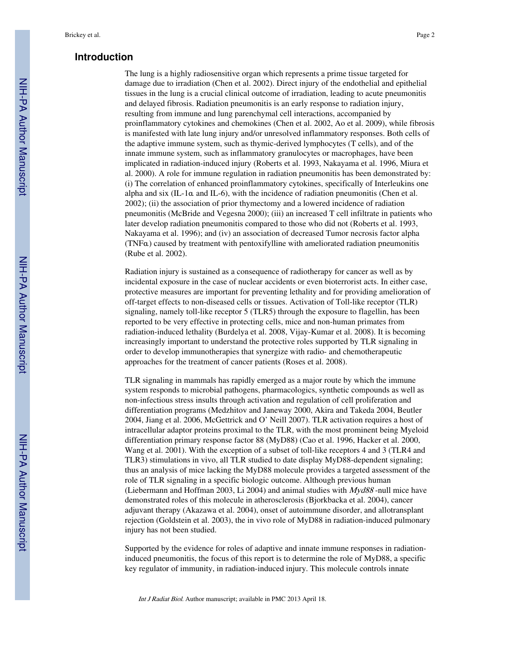#### **Introduction**

The lung is a highly radiosensitive organ which represents a prime tissue targeted for damage due to irradiation (Chen et al. 2002). Direct injury of the endothelial and epithelial tissues in the lung is a crucial clinical outcome of irradiation, leading to acute pneumonitis and delayed fibrosis. Radiation pneumonitis is an early response to radiation injury, resulting from immune and lung parenchymal cell interactions, accompanied by proinflammatory cytokines and chemokines (Chen et al. 2002, Ao et al. 2009), while fibrosis is manifested with late lung injury and/or unresolved inflammatory responses. Both cells of the adaptive immune system, such as thymic-derived lymphocytes (T cells), and of the innate immune system, such as inflammatory granulocytes or macrophages, have been implicated in radiation-induced injury (Roberts et al. 1993, Nakayama et al. 1996, Miura et al. 2000). A role for immune regulation in radiation pneumonitis has been demonstrated by: (i) The correlation of enhanced proinflammatory cytokines, specifically of Interleukins one alpha and six (IL-1 $\alpha$  and IL-6), with the incidence of radiation pneumonitis (Chen et al. 2002); (ii) the association of prior thymectomy and a lowered incidence of radiation pneumonitis (McBride and Vegesna 2000); (iii) an increased T cell infiltrate in patients who later develop radiation pneumonitis compared to those who did not (Roberts et al. 1993, Nakayama et al. 1996); and (iv) an association of decreased Tumor necrosis factor alpha (TNFα) caused by treatment with pentoxifylline with ameliorated radiation pneumonitis (Rube et al. 2002).

Radiation injury is sustained as a consequence of radiotherapy for cancer as well as by incidental exposure in the case of nuclear accidents or even bioterrorist acts. In either case, protective measures are important for preventing lethality and for providing amelioration of off-target effects to non-diseased cells or tissues. Activation of Toll-like receptor (TLR) signaling, namely toll-like receptor 5 (TLR5) through the exposure to flagellin, has been reported to be very effective in protecting cells, mice and non-human primates from radiation-induced lethality (Burdelya et al. 2008, Vijay-Kumar et al. 2008). It is becoming increasingly important to understand the protective roles supported by TLR signaling in order to develop immunotherapies that synergize with radio- and chemotherapeutic approaches for the treatment of cancer patients (Roses et al. 2008).

TLR signaling in mammals has rapidly emerged as a major route by which the immune system responds to microbial pathogens, pharmacologics, synthetic compounds as well as non-infectious stress insults through activation and regulation of cell proliferation and differentiation programs (Medzhitov and Janeway 2000, Akira and Takeda 2004, Beutler 2004, Jiang et al. 2006, McGettrick and O' Neill 2007). TLR activation requires a host of intracellular adaptor proteins proximal to the TLR, with the most prominent being Myeloid differentiation primary response factor 88 (MyD88) (Cao et al. 1996, Hacker et al. 2000, Wang et al. 2001). With the exception of a subset of toll-like receptors 4 and 3 (TLR4 and TLR3) stimulations in vivo, all TLR studied to date display MyD88-dependent signaling; thus an analysis of mice lacking the MyD88 molecule provides a targeted assessment of the role of TLR signaling in a specific biologic outcome. Although previous human (Liebermann and Hoffman 2003, Li 2004) and animal studies with Myd88 -null mice have demonstrated roles of this molecule in atherosclerosis (Bjorkbacka et al. 2004), cancer adjuvant therapy (Akazawa et al. 2004), onset of autoimmune disorder, and allotransplant rejection (Goldstein et al. 2003), the in vivo role of MyD88 in radiation-induced pulmonary injury has not been studied.

Supported by the evidence for roles of adaptive and innate immune responses in radiationinduced pneumonitis, the focus of this report is to determine the role of MyD88, a specific key regulator of immunity, in radiation-induced injury. This molecule controls innate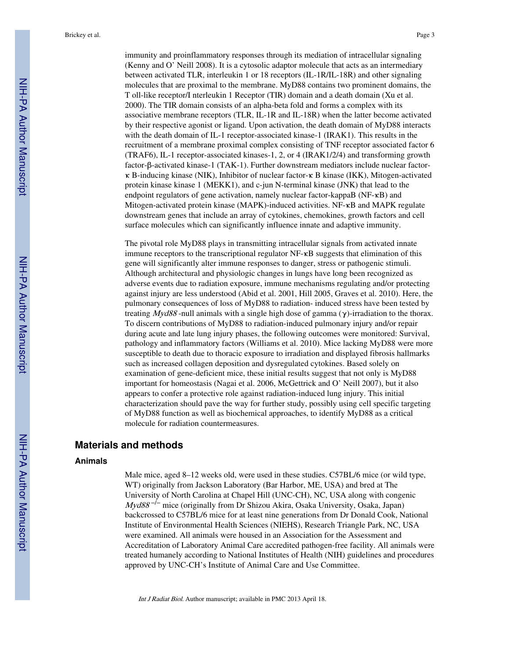immunity and proinflammatory responses through its mediation of intracellular signaling (Kenny and O' Neill 2008). It is a cytosolic adaptor molecule that acts as an intermediary between activated TLR, interleukin 1 or 18 receptors (IL-1R/IL-18R) and other signaling molecules that are proximal to the membrane. MyD88 contains two prominent domains, the T oll-like receptor/I nterleukin 1 Receptor (TIR) domain and a death domain (Xu et al. 2000). The TIR domain consists of an alpha-beta fold and forms a complex with its associative membrane receptors (TLR, IL-1R and IL-18R) when the latter become activated by their respective agonist or ligand. Upon activation, the death domain of MyD88 interacts with the death domain of IL-1 receptor-associated kinase-1 (IRAK1). This results in the recruitment of a membrane proximal complex consisting of TNF receptor associated factor 6 (TRAF6), IL-1 receptor-associated kinases-1, 2, or 4 (IRAK1/2/4) and transforming growth factor-β-activated kinase-1 (TAK-1). Further downstream mediators include nuclear factorκ B-inducing kinase (NIK), Inhibitor of nuclear factor-κ B kinase (IKK), Mitogen-activated protein kinase kinase 1 (MEKK1), and c-jun N-terminal kinase (JNK) that lead to the endpoint regulators of gene activation, namely nuclear factor-kappaB (NF-κB) and

The pivotal role MyD88 plays in transmitting intracellular signals from activated innate immune receptors to the transcriptional regulator NF-κB suggests that elimination of this gene will significantly alter immune responses to danger, stress or pathogenic stimuli. Although architectural and physiologic changes in lungs have long been recognized as adverse events due to radiation exposure, immune mechanisms regulating and/or protecting against injury are less understood (Abid et al. 2001, Hill 2005, Graves et al. 2010). Here, the pulmonary consequences of loss of MyD88 to radiation- induced stress have been tested by treating  $Myd88$ -null animals with a single high dose of gamma (γ)-irradiation to the thorax. To discern contributions of MyD88 to radiation-induced pulmonary injury and/or repair during acute and late lung injury phases, the following outcomes were monitored: Survival, pathology and inflammatory factors (Williams et al. 2010). Mice lacking MyD88 were more susceptible to death due to thoracic exposure to irradiation and displayed fibrosis hallmarks such as increased collagen deposition and dysregulated cytokines. Based solely on examination of gene-deficient mice, these initial results suggest that not only is MyD88 important for homeostasis (Nagai et al. 2006, McGettrick and O' Neill 2007), but it also appears to confer a protective role against radiation-induced lung injury. This initial characterization should pave the way for further study, possibly using cell specific targeting of MyD88 function as well as biochemical approaches, to identify MyD88 as a critical molecule for radiation countermeasures.

Mitogen-activated protein kinase (MAPK)-induced activities. NF-κB and MAPK regulate downstream genes that include an array of cytokines, chemokines, growth factors and cell surface molecules which can significantly influence innate and adaptive immunity.

#### **Materials and methods**

#### **Animals**

Male mice, aged 8–12 weeks old, were used in these studies. C57BL/6 mice (or wild type, WT) originally from Jackson Laboratory (Bar Harbor, ME, USA) and bred at The University of North Carolina at Chapel Hill (UNC-CH), NC, USA along with congenic Myd88<sup>-/-</sup> mice (originally from Dr Shizou Akira, Osaka University, Osaka, Japan) backcrossed to C57BL/6 mice for at least nine generations from Dr Donald Cook, National Institute of Environmental Health Sciences (NIEHS), Research Triangle Park, NC, USA were examined. All animals were housed in an Association for the Assessment and Accreditation of Laboratory Animal Care accredited pathogen-free facility. All animals were treated humanely according to National Institutes of Health (NIH) guidelines and procedures approved by UNC-CH's Institute of Animal Care and Use Committee.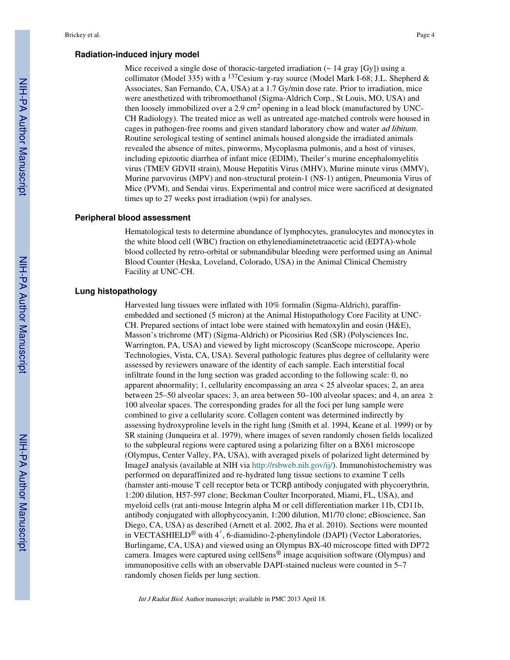#### **Radiation-induced injury model**

Mice received a single dose of thoracic-targeted irradiation  $($   $\sim$  14 gray [Gy]) using a collimator (Model 335) with a <sup>137</sup>Cesium  $\gamma$ -ray source (Model Mark I-68; J.L. Shepherd & Associates, San Fernando, CA, USA) at a 1.7 Gy/min dose rate. Prior to irradiation, mice were anesthetized with tribromoethanol (Sigma-Aldrich Corp., St Louis, MO, USA) and then loosely immobilized over a 2.9 cm<sup>2</sup> opening in a lead block (manufactured by UNC-CH Radiology). The treated mice as well as untreated age-matched controls were housed in cages in pathogen-free rooms and given standard laboratory chow and water ad libitum. Routine serological testing of sentinel animals housed alongside the irradiated animals revealed the absence of mites, pinworms, Mycoplasma pulmonis, and a host of viruses, including epizootic diarrhea of infant mice (EDIM), Theiler's murine encephalomyelitis virus (TMEV GDVII strain), Mouse Hepatitis Virus (MHV), Murine minute virus (MMV), Murine parvovirus (MPV) and non-structural protein-1 (NS-1) antigen, Pneumonia Virus of Mice (PVM), and Sendai virus. Experimental and control mice were sacrificed at designated times up to 27 weeks post irradiation (wpi) for analyses.

#### **Peripheral blood assessment**

Hematological tests to determine abundance of lymphocytes, granulocytes and monocytes in the white blood cell (WBC) fraction on ethylenediaminetetraacetic acid (EDTA)-whole blood collected by retro-orbital or submandibular bleeding were performed using an Animal Blood Counter (Heska, Loveland, Colorado, USA) in the Animal Clinical Chemistry Facility at UNC-CH.

#### **Lung histopathology**

Harvested lung tissues were inflated with 10% formalin (Sigma-Aldrich), paraffinembedded and sectioned (5 micron) at the Animal Histopathology Core Facility at UNC-CH. Prepared sections of intact lobe were stained with hematoxylin and eosin (H&E), Masson's trichrome (MT) (Sigma-Aldrich) or Picosirius Red (SR) (Polysciences Inc, Warrington, PA, USA) and viewed by light microscopy (ScanScope microscope, Aperio Technologies, Vista, CA, USA). Several pathologic features plus degree of cellularity were assessed by reviewers unaware of the identity of each sample. Each interstitial focal infiltrate found in the lung section was graded according to the following scale: 0, no apparent abnormality; 1, cellularity encompassing an area < 25 alveolar spaces; 2, an area between 25–50 alveolar spaces; 3, an area between 50–100 alveolar spaces; and 4, an area  $\ge$ 100 alveolar spaces. The corresponding grades for all the foci per lung sample were combined to give a cellularity score. Collagen content was determined indirectly by assessing hydroxyproline levels in the right lung (Smith et al. 1994, Keane et al. 1999) or by SR staining (Junqueira et al. 1979), where images of seven randomly chosen fields localized to the subpleural regions were captured using a polarizing filter on a BX61 microscope (Olympus, Center Valley, PA, USA), with averaged pixels of polarized light determined by ImageJ analysis (available at NIH via http://rsbweb.nih.gov/ij/). Immunohistochemistry was performed on deparaffinized and re-hydrated lung tissue sections to examine T cells (hamster anti-mouse T cell receptor beta or TCRβ antibody conjugated with phycoerythrin, 1:200 dilution, H57-597 clone; Beckman Coulter Incorporated, Miami, FL, USA), and myeloid cells (rat anti-mouse Integrin alpha M or cell differentiation marker 11b, CD11b, antibody conjugated with allophycocyanin, 1:200 dilution, M1/70 clone; eBioscience, San Diego, CA, USA) as described (Arnett et al. 2002, Jha et al. 2010). Sections were mounted in VECTASHIELD® with 4′, 6-diamidino-2-phenylindole (DAPI) (Vector Laboratories, Burlingame, CA, USA) and viewed using an Olympus BX-40 microscope fitted with DP72 camera. Images were captured using cellSens® image acquisition software (Olympus) and immunopositive cells with an observable DAPI-stained nucleus were counted in 5–7 randomly chosen fields per lung section.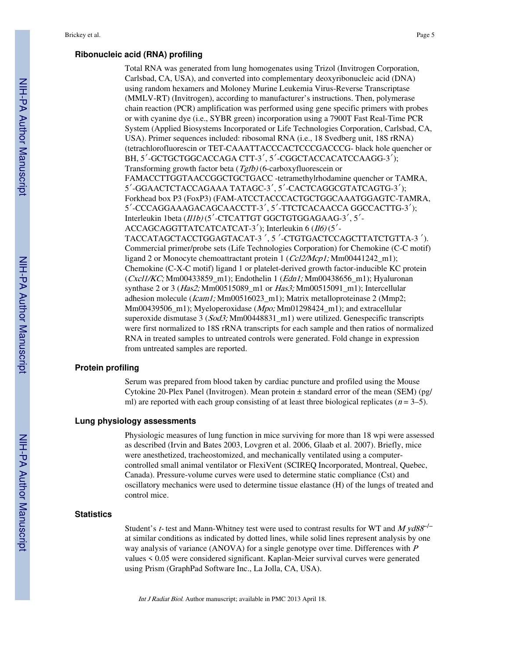#### **Ribonucleic acid (RNA) profiling**

Total RNA was generated from lung homogenates using Trizol (Invitrogen Corporation, Carlsbad, CA, USA), and converted into complementary deoxyribonucleic acid (DNA) using random hexamers and Moloney Murine Leukemia Virus-Reverse Transcriptase (MMLV-RT) (Invitrogen), according to manufacturer's instructions. Then, polymerase chain reaction (PCR) amplification was performed using gene specific primers with probes or with cyanine dye (i.e., SYBR green) incorporation using a 7900T Fast Real-Time PCR System (Applied Biosystems Incorporated or Life Technologies Corporation, Carlsbad, CA, USA). Primer sequences included: ribosomal RNA (i.e., 18 Svedberg unit, 18S rRNA) (tetrachlorofluorescin or TET-CAAATTACCCACTCCCGACCCG- black hole quencher or BH, 5′-GCTGCTGGCACCAGA CTT-3′, 5′-CGGCTACCACATCCAAGG-3′); Transforming growth factor beta (Tgfb) (6-carboxyfluorescein or FAMACCTTGGTAACCGGCTGCTGACC -tetramethylrhodamine quencher or TAMRA, 5′-GGAACTCTACCAGAAA TATAGC-3′, 5′-CACTCAGGCGTATCAGTG-3′); Forkhead box P3 (FoxP3) (FAM-ATCCTACCCACTGCTGGCAAATGGAGTC-TAMRA, 5′-CCCAGGAAAGACAGCAACCTT-3′, 5′-TTCTCACAACCA GGCCACTTG-3′); Interleukin 1beta (Il1b) (5′-CTCATTGT GGCTGTGGAGAAG-3′, 5′- ACCAGCAGGTTATCATCATCAT-3<sup>'</sup>); Interleukin 6 (Il6) (5<sup>'</sup>-TACCATAGCTACCTGGAGTACAT-3 ′, 5 ′-CTGTGACTCCAGCTTATCTGTTA-3 ′). Commercial primer/probe sets (Life Technologies Corporation) for Chemokine (C-C motif) ligand 2 or Monocyte chemoattractant protein 1 (Ccl2/Mcp1; Mm00441242\_m1); Chemokine (C-X-C motif) ligand 1 or platelet-derived growth factor-inducible KC protein (Cxcl1/KC; Mm00433859\_m1); Endothelin 1 (Edn1; Mm00438656\_m1); Hyaluronan synthase 2 or 3 (Has2; Mm00515089\_m1 or Has3; Mm00515091\_m1); Intercellular adhesion molecule (*Icam1*; Mm00516023\_m1); Matrix metalloproteinase 2 (Mmp2; Mm00439506 m1); Myeloperoxidase ( $Mpo$ ; Mm01298424 m1); and extracellular superoxide dismutase 3 (*Sod3*; Mm00448831 m1) were utilized. Genespecific transcripts were first normalized to 18S rRNA transcripts for each sample and then ratios of normalized RNA in treated samples to untreated controls were generated. Fold change in expression from untreated samples are reported.

#### **Protein profiling**

Serum was prepared from blood taken by cardiac puncture and profiled using the Mouse Cytokine 20-Plex Panel (Invitrogen). Mean protein  $\pm$  standard error of the mean (SEM) (pg/ ml) are reported with each group consisting of at least three biological replicates ( $n = 3-5$ ).

#### **Lung physiology assessments**

Physiologic measures of lung function in mice surviving for more than 18 wpi were assessed as described (Irvin and Bates 2003, Lovgren et al. 2006, Glaab et al. 2007). Briefly, mice were anesthetized, tracheostomized, and mechanically ventilated using a computercontrolled small animal ventilator or FlexiVent (SCIREQ Incorporated, Montreal, Quebec, Canada). Pressure-volume curves were used to determine static compliance (Cst) and oscillatory mechanics were used to determine tissue elastance (H) of the lungs of treated and control mice.

#### **Statistics**

Student's t- test and Mann-Whitney test were used to contrast results for WT and  $My d88^{-/-}$ at similar conditions as indicated by dotted lines, while solid lines represent analysis by one way analysis of variance (ANOVA) for a single genotype over time. Differences with <sup>P</sup> values < 0.05 were considered significant. Kaplan-Meier survival curves were generated using Prism (GraphPad Software Inc., La Jolla, CA, USA).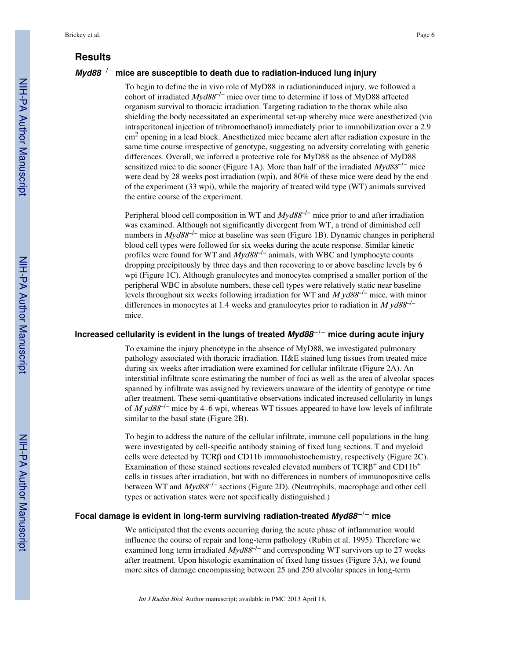#### **Results**

#### **Myd88**−**/**− **mice are susceptible to death due to radiation-induced lung injury**

To begin to define the in vivo role of MyD88 in radiationinduced injury, we followed a cohort of irradiated  $Myd88^{-/-}$  mice over time to determine if loss of MyD88 affected organism survival to thoracic irradiation. Targeting radiation to the thorax while also shielding the body necessitated an experimental set-up whereby mice were anesthetized (via intraperitoneal injection of tribromoethanol) immediately prior to immobilization over a 2.9 cm<sup>2</sup> opening in a lead block. Anesthetized mice became alert after radiation exposure in the same time course irrespective of genotype, suggesting no adversity correlating with genetic differences. Overall, we inferred a protective role for MyD88 as the absence of MyD88 sensitized mice to die sooner (Figure 1A). More than half of the irradiated  $Myd88^{-/-}$  mice were dead by 28 weeks post irradiation (wpi), and 80% of these mice were dead by the end of the experiment (33 wpi), while the majority of treated wild type (WT) animals survived the entire course of the experiment.

Peripheral blood cell composition in WT and  $Myd88^{-/-}$  mice prior to and after irradiation was examined. Although not significantly divergent from WT, a trend of diminished cell numbers in Myd88<sup>-/-</sup> mice at baseline was seen (Figure 1B). Dynamic changes in peripheral blood cell types were followed for six weeks during the acute response. Similar kinetic profiles were found for WT and  $Myd88^{-/-}$  animals, with WBC and lymphocyte counts dropping precipitously by three days and then recovering to or above baseline levels by 6 wpi (Figure 1C). Although granulocytes and monocytes comprised a smaller portion of the peripheral WBC in absolute numbers, these cell types were relatively static near baseline levels throughout six weeks following irradiation for WT and  $M y d88^{-/-}$  mice, with minor differences in monocytes at 1.4 weeks and granulocytes prior to radiation in  $M y d88^{-1}$ mice.

#### **Increased cellularity is evident in the lungs of treated Myd88**−**/**− **mice during acute injury**

To examine the injury phenotype in the absence of MyD88, we investigated pulmonary pathology associated with thoracic irradiation. H&E stained lung tissues from treated mice during six weeks after irradiation were examined for cellular infiltrate (Figure 2A). An interstitial infiltrate score estimating the number of foci as well as the area of alveolar spaces spanned by infiltrate was assigned by reviewers unaware of the identity of genotype or time after treatment. These semi-quantitative observations indicated increased cellularity in lungs of M yd88<sup>-/-</sup> mice by 4–6 wpi, whereas WT tissues appeared to have low levels of infiltrate similar to the basal state (Figure 2B).

To begin to address the nature of the cellular infiltrate, immune cell populations in the lung were investigated by cell-specific antibody staining of fixed lung sections. T and myeloid cells were detected by TCRβ and CD11b immunohistochemistry, respectively (Figure 2C). Examination of these stained sections revealed elevated numbers of  $TCR\beta^+$  and  $CD11b^+$ cells in tissues after irradiation, but with no differences in numbers of immunopositive cells between WT and *Myd88<sup>-/-</sup>* sections (Figure 2D). (Neutrophils, macrophage and other cell types or activation states were not specifically distinguished.)

#### **Focal damage is evident in long-term surviving radiation-treated Myd88**−**/**− **mice**

We anticipated that the events occurring during the acute phase of inflammation would influence the course of repair and long-term pathology (Rubin et al. 1995). Therefore we examined long term irradiated  $Myd88^{-/-}$  and corresponding WT survivors up to 27 weeks after treatment. Upon histologic examination of fixed lung tissues (Figure 3A), we found more sites of damage encompassing between 25 and 250 alveolar spaces in long-term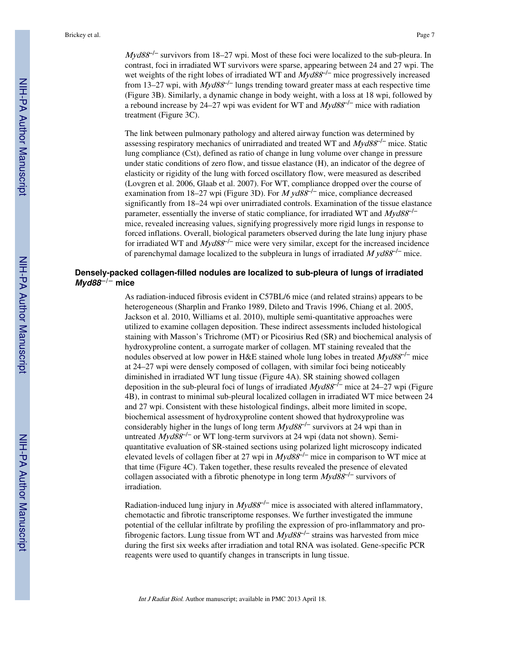$Myd88<sup>-/-</sup>$  survivors from 18–27 wpi. Most of these foci were localized to the sub-pleura. In contrast, foci in irradiated WT survivors were sparse, appearing between 24 and 27 wpi. The wet weights of the right lobes of irradiated WT and  $Myd88^{-/-}$  mice progressively increased from 13–27 wpi, with  $Myd88^{-/-}$  lungs trending toward greater mass at each respective time (Figure 3B). Similarly, a dynamic change in body weight, with a loss at 18 wpi, followed by a rebound increase by 24–27 wpi was evident for WT and  $Myd88^{-/-}$  mice with radiation treatment (Figure 3C).

The link between pulmonary pathology and altered airway function was determined by assessing respiratory mechanics of unirradiated and treated WT and  $Myd88^{-/-}$  mice. Static lung compliance (Cst), defined as ratio of change in lung volume over change in pressure under static conditions of zero flow, and tissue elastance (H), an indicator of the degree of elasticity or rigidity of the lung with forced oscillatory flow, were measured as described (Lovgren et al. 2006, Glaab et al. 2007). For WT, compliance dropped over the course of examination from 18–27 wpi (Figure 3D). For  $M$  yd88<sup>-/-</sup> mice, compliance decreased significantly from 18–24 wpi over unirradiated controls. Examination of the tissue elastance parameter, essentially the inverse of static compliance, for irradiated WT and  $Myd88^{-/-}$ mice, revealed increasing values, signifying progressively more rigid lungs in response to forced inflations. Overall, biological parameters observed during the late lung injury phase for irradiated WT and  $Myd88^{-/-}$  mice were very similar, except for the increased incidence of parenchymal damage localized to the subpleura in lungs of irradiated  $M y d88^{-1}$  mice.

#### **Densely-packed collagen-filled nodules are localized to sub-pleura of lungs of irradiated Myd88**−**/**− **mice**

As radiation-induced fibrosis evident in C57BL/6 mice (and related strains) appears to be heterogeneous (Sharplin and Franko 1989, Dileto and Travis 1996, Chiang et al. 2005, Jackson et al. 2010, Williams et al. 2010), multiple semi-quantitative approaches were utilized to examine collagen deposition. These indirect assessments included histological staining with Masson's Trichrome (MT) or Picosirius Red (SR) and biochemical analysis of hydroxyproline content, a surrogate marker of collagen. MT staining revealed that the nodules observed at low power in H&E stained whole lung lobes in treated  $Myd88^{-/-}$  mice at 24–27 wpi were densely composed of collagen, with similar foci being noticeably diminished in irradiated WT lung tissue (Figure 4A). SR staining showed collagen deposition in the sub-pleural foci of lungs of irradiated Myd88<sup>-/−</sup> mice at 24–27 wpi (Figure 4B), in contrast to minimal sub-pleural localized collagen in irradiated WT mice between 24 and 27 wpi. Consistent with these histological findings, albeit more limited in scope, biochemical assessment of hydroxyproline content showed that hydroxyproline was considerably higher in the lungs of long term  $Myd88^{-/-}$  survivors at 24 wpi than in untreated Myd88<sup>-/-</sup> or WT long-term survivors at 24 wpi (data not shown). Semiquantitative evaluation of SR-stained sections using polarized light microscopy indicated elevated levels of collagen fiber at 27 wpi in  $Myd88<sup>-/-</sup>$  mice in comparison to WT mice at that time (Figure 4C). Taken together, these results revealed the presence of elevated collagen associated with a fibrotic phenotype in long term  $Myd88^{-/-}$  survivors of irradiation.

Radiation-induced lung injury in  $Myd88^{-/-}$  mice is associated with altered inflammatory, chemotactic and fibrotic transcriptome responses. We further investigated the immune potential of the cellular infiltrate by profiling the expression of pro-inflammatory and profibrogenic factors. Lung tissue from WT and  $Myd88^{-/-}$  strains was harvested from mice during the first six weeks after irradiation and total RNA was isolated. Gene-specific PCR reagents were used to quantify changes in transcripts in lung tissue.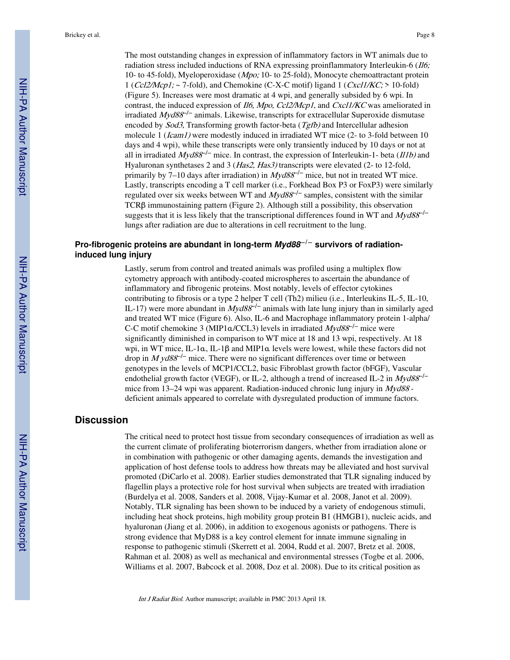The most outstanding changes in expression of inflammatory factors in WT animals due to radiation stress included inductions of RNA expressing proinflammatory Interleukin-6 (*Il6*; 10- to 45-fold), Myeloperoxidase (Mpo; 10- to 25-fold), Monocyte chemoattractant protein 1 (Ccl2/Mcp1; ~ 7-fold), and Chemokine (C-X-C motif) ligand 1 (Cxcl1/KC; > 10-fold) (Figure 5). Increases were most dramatic at 4 wpi, and generally subsided by 6 wpi. In contrast, the induced expression of *Il6, Mpo, Ccl2/Mcp1*, and *Cxcl1/KC* was ameliorated in irradiated  $Myd88^{-/-}$  animals. Likewise, transcripts for extracellular Superoxide dismutase encoded by *Sod3*, Transforming growth factor-beta (*Tgfb*) and Intercellular adhesion molecule 1 (*Icam1*) were modestly induced in irradiated WT mice (2- to 3-fold between 10 days and 4 wpi), while these transcripts were only transiently induced by 10 days or not at all in irradiated  $Myd88^{-/-}$  mice. In contrast, the expression of Interleukin-1- beta ( $II1b$ ) and Hyaluronan synthetases 2 and 3 (*Has2, Has3*) transcripts were elevated (2- to 12-fold, primarily by 7–10 days after irradiation) in  $Myd88^{-/-}$  mice, but not in treated WT mice. Lastly, transcripts encoding a T cell marker (i.e., Forkhead Box P3 or FoxP3) were similarly regulated over six weeks between WT and  $Myd88^{-/-}$  samples, consistent with the similar TCRβ immunostaining pattern (Figure 2). Although still a possibility, this observation suggests that it is less likely that the transcriptional differences found in WT and  $Myd88^{-/-}$ lungs after radiation are due to alterations in cell recruitment to the lung.

#### **Pro-fibrogenic proteins are abundant in long-term Myd88**−**/**− **survivors of radiationinduced lung injury**

Lastly, serum from control and treated animals was profiled using a multiplex flow cytometry approach with antibody-coated microspheres to ascertain the abundance of inflammatory and fibrogenic proteins. Most notably, levels of effector cytokines contributing to fibrosis or a type 2 helper T cell (Th2) milieu (i.e., Interleukins IL-5, IL-10, IL-17) were more abundant in  $Myd88^{-/-}$  animals with late lung injury than in similarly aged and treated WT mice (Figure 6). Also, IL-6 and Macrophage inflammatory protein 1-alpha/ C-C motif chemokine 3 (MIP1 $\alpha$ /CCL3) levels in irradiated Myd88<sup>-/-</sup> mice were significantly diminished in comparison to WT mice at 18 and 13 wpi, respectively. At 18 wpi, in WT mice, IL-1α, IL-1β and MIP1α levels were lowest, while these factors did not drop in  $M yd88^{-1}$  mice. There were no significant differences over time or between genotypes in the levels of MCP1/CCL2, basic Fibroblast growth factor (bFGF), Vascular endothelial growth factor (VEGF), or IL-2, although a trend of increased IL-2 in  $Myd88^{-/-}$ mice from 13-24 wpi was apparent. Radiation-induced chronic lung injury in Myd88 deficient animals appeared to correlate with dysregulated production of immune factors.

#### **Discussion**

The critical need to protect host tissue from secondary consequences of irradiation as well as the current climate of proliferating bioterrorism dangers, whether from irradiation alone or in combination with pathogenic or other damaging agents, demands the investigation and application of host defense tools to address how threats may be alleviated and host survival promoted (DiCarlo et al. 2008). Earlier studies demonstrated that TLR signaling induced by flagellin plays a protective role for host survival when subjects are treated with irradiation (Burdelya et al. 2008, Sanders et al. 2008, Vijay-Kumar et al. 2008, Janot et al. 2009). Notably, TLR signaling has been shown to be induced by a variety of endogenous stimuli, including heat shock proteins, high mobility group protein B1 (HMGB1), nucleic acids, and hyaluronan (Jiang et al. 2006), in addition to exogenous agonists or pathogens. There is strong evidence that MyD88 is a key control element for innate immune signaling in response to pathogenic stimuli (Skerrett et al. 2004, Rudd et al. 2007, Bretz et al. 2008, Rahman et al. 2008) as well as mechanical and environmental stresses (Togbe et al. 2006, Williams et al. 2007, Babcock et al. 2008, Doz et al. 2008). Due to its critical position as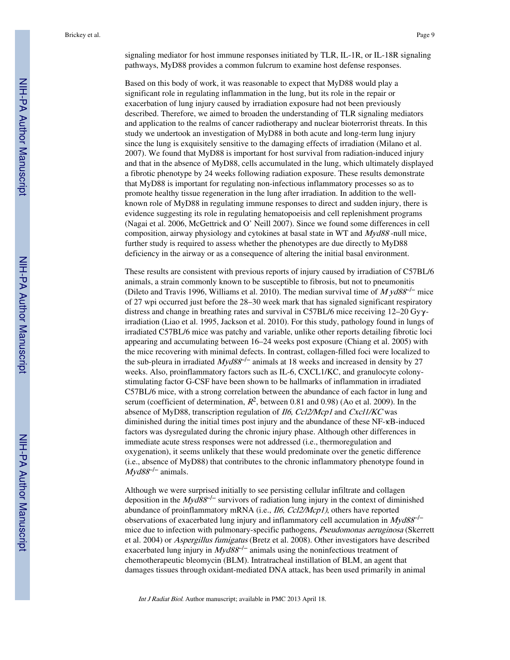signaling mediator for host immune responses initiated by TLR, IL-1R, or IL-18R signaling pathways, MyD88 provides a common fulcrum to examine host defense responses.

Based on this body of work, it was reasonable to expect that MyD88 would play a significant role in regulating inflammation in the lung, but its role in the repair or exacerbation of lung injury caused by irradiation exposure had not been previously described. Therefore, we aimed to broaden the understanding of TLR signaling mediators and application to the realms of cancer radiotherapy and nuclear bioterrorist threats. In this study we undertook an investigation of MyD88 in both acute and long-term lung injury since the lung is exquisitely sensitive to the damaging effects of irradiation (Milano et al. 2007). We found that MyD88 is important for host survival from radiation-induced injury and that in the absence of MyD88, cells accumulated in the lung, which ultimately displayed a fibrotic phenotype by 24 weeks following radiation exposure. These results demonstrate that MyD88 is important for regulating non-infectious inflammatory processes so as to promote healthy tissue regeneration in the lung after irradiation. In addition to the wellknown role of MyD88 in regulating immune responses to direct and sudden injury, there is evidence suggesting its role in regulating hematopoeisis and cell replenishment programs (Nagai et al. 2006, McGettrick and O' Neill 2007). Since we found some differences in cell composition, airway physiology and cytokines at basal state in WT and Myd88 -null mice, further study is required to assess whether the phenotypes are due directly to MyD88 deficiency in the airway or as a consequence of altering the initial basal environment.

These results are consistent with previous reports of injury caused by irradiation of C57BL/6 animals, a strain commonly known to be susceptible to fibrosis, but not to pneumonitis (Dileto and Travis 1996, Williams et al. 2010). The median survival time of  $M y d88^{-1}$  mice of 27 wpi occurred just before the 28–30 week mark that has signaled significant respiratory distress and change in breathing rates and survival in C57BL/6 mice receiving 12–20 Gyγirradiation (Liao et al. 1995, Jackson et al. 2010). For this study, pathology found in lungs of irradiated C57BL/6 mice was patchy and variable, unlike other reports detailing fibrotic loci appearing and accumulating between 16–24 weeks post exposure (Chiang et al. 2005) with the mice recovering with minimal defects. In contrast, collagen-filled foci were localized to the sub-pleura in irradiated  $Myd88^{-/-}$  animals at 18 weeks and increased in density by 27 weeks. Also, proinflammatory factors such as IL-6, CXCL1/KC, and granulocyte colonystimulating factor G-CSF have been shown to be hallmarks of inflammation in irradiated C57BL/6 mice, with a strong correlation between the abundance of each factor in lung and serum (coefficient of determination,  $R^2$ , between 0.81 and 0.98) (Ao et al. 2009). In the absence of MyD88, transcription regulation of Il6, Ccl2/Mcp1 and Cxcl1/KC was diminished during the initial times post injury and the abundance of these NF-κB-induced factors was dysregulated during the chronic injury phase. Although other differences in immediate acute stress responses were not addressed (i.e., thermoregulation and oxygenation), it seems unlikely that these would predominate over the genetic difference (i.e., absence of MyD88) that contributes to the chronic inflammatory phenotype found in  $Myd88^{-/-}$  animals.

Although we were surprised initially to see persisting cellular infiltrate and collagen deposition in the  $Myd88^{-/-}$  survivors of radiation lung injury in the context of diminished abundance of proinflammatory mRNA (i.e., Il6, Ccl2/Mcp1), others have reported observations of exacerbated lung injury and inflammatory cell accumulation in  $Myd88^{-/-}$ mice due to infection with pulmonary-specific pathogens, *Pseudomonas aeruginosa* (Skerrett et al. 2004) or Aspergillus fumigatus (Bretz et al. 2008). Other investigators have described exacerbated lung injury in  $Myd88^{-/-}$  animals using the noninfectious treatment of chemotherapeutic bleomycin (BLM). Intratracheal instillation of BLM, an agent that damages tissues through oxidant-mediated DNA attack, has been used primarily in animal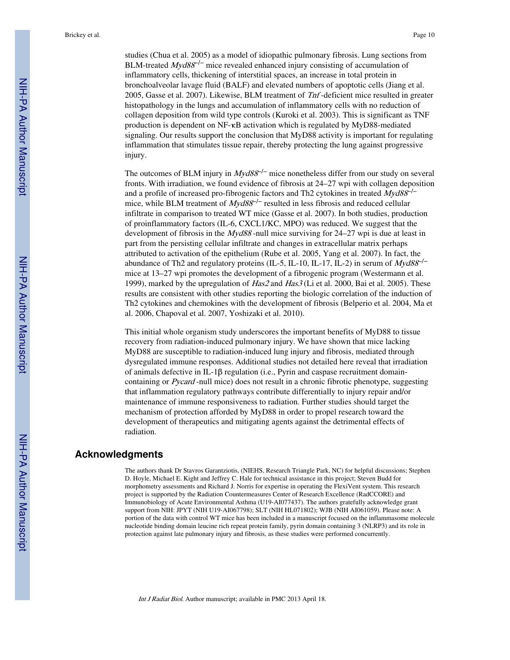studies (Chua et al. 2005) as a model of idiopathic pulmonary fibrosis. Lung sections from BLM-treated  $Myd88^{-/-}$  mice revealed enhanced injury consisting of accumulation of inflammatory cells, thickening of interstitial spaces, an increase in total protein in bronchoalveolar lavage fluid (BALF) and elevated numbers of apoptotic cells (Jiang et al. 2005, Gasse et al. 2007). Likewise, BLM treatment of Tnf -deficient mice resulted in greater histopathology in the lungs and accumulation of inflammatory cells with no reduction of collagen deposition from wild type controls (Kuroki et al. 2003). This is significant as TNF production is dependent on NF-κB activation which is regulated by MyD88-mediated signaling. Our results support the conclusion that MyD88 activity is important for regulating inflammation that stimulates tissue repair, thereby protecting the lung against progressive injury.

The outcomes of BLM injury in  $Myd88^{-/-}$  mice nonetheless differ from our study on several fronts. With irradiation, we found evidence of fibrosis at 24–27 wpi with collagen deposition and a profile of increased pro-fibrogenic factors and Th2 cytokines in treated  $Myd88^{-/-}$ mice, while BLM treatment of  $Myd88^{-/-}$  resulted in less fibrosis and reduced cellular infiltrate in comparison to treated WT mice (Gasse et al. 2007). In both studies, production of proinflammatory factors (IL-6, CXCL1/KC, MPO) was reduced. We suggest that the development of fibrosis in the *Myd88* -null mice surviving for 24–27 wpi is due at least in part from the persisting cellular infiltrate and changes in extracellular matrix perhaps attributed to activation of the epithelium (Rube et al. 2005, Yang et al. 2007). In fact, the abundance of Th2 and regulatory proteins (IL-5, IL-10, IL-17, IL-2) in serum of  $Myd88^{-/-}$ mice at 13–27 wpi promotes the development of a fibrogenic program (Westermann et al. 1999), marked by the upregulation of Has2 and Has3 (Li et al. 2000, Bai et al. 2005). These results are consistent with other studies reporting the biologic correlation of the induction of Th2 cytokines and chemokines with the development of fibrosis (Belperio et al. 2004, Ma et al. 2006, Chapoval et al. 2007, Yoshizaki et al. 2010).

This initial whole organism study underscores the important benefits of MyD88 to tissue recovery from radiation-induced pulmonary injury. We have shown that mice lacking MyD88 are susceptible to radiation-induced lung injury and fibrosis, mediated through dysregulated immune responses. Additional studies not detailed here reveal that irradiation of animals defective in IL-1β regulation (i.e., Pyrin and caspase recruitment domaincontaining or Pycard -null mice) does not result in a chronic fibrotic phenotype, suggesting that inflammation regulatory pathways contribute differentially to injury repair and/or maintenance of immune responsiveness to radiation. Further studies should target the mechanism of protection afforded by MyD88 in order to propel research toward the development of therapeutics and mitigating agents against the detrimental effects of radiation.

#### **Acknowledgments**

The authors thank Dr Stavros Garantziotis, (NIEHS, Research Triangle Park, NC) for helpful discussions; Stephen D. Hoyle, Michael E. Kight and Jeffrey C. Hale for technical assistance in this project; Steven Budd for morphometry assessments and Richard J. Norris for expertise in operating the FlexiVent system. This research project is supported by the Radiation Countermeasures Center of Research Excellence (RadCCORE) and Immunobiology of Acute Environmental Asthma (U19-AI077437). The authors gratefully acknowledge grant support from NIH: JPYT (NIH U19-AI067798); SLT (NIH HL071802); WJB (NIH AI061059). Please note: A portion of the data with control WT mice has been included in a manuscript focused on the inflammasome molecule nucleotide binding domain leucine rich repeat protein family, pyrin domain containing 3 (NLRP3) and its role in protection against late pulmonary injury and fibrosis, as these studies were performed concurrently.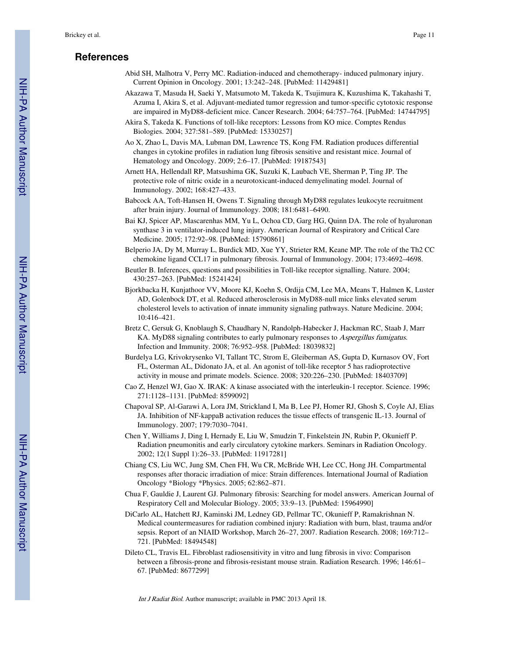#### **References**

- Abid SH, Malhotra V, Perry MC. Radiation-induced and chemotherapy- induced pulmonary injury. Current Opinion in Oncology. 2001; 13:242–248. [PubMed: 11429481]
- Akazawa T, Masuda H, Saeki Y, Matsumoto M, Takeda K, Tsujimura K, Kuzushima K, Takahashi T, Azuma I, Akira S, et al. Adjuvant-mediated tumor regression and tumor-specific cytotoxic response are impaired in MyD88-deficient mice. Cancer Research. 2004; 64:757–764. [PubMed: 14744795]
- Akira S, Takeda K. Functions of toll-like receptors: Lessons from KO mice. Comptes Rendus Biologies. 2004; 327:581–589. [PubMed: 15330257]
- Ao X, Zhao L, Davis MA, Lubman DM, Lawrence TS, Kong FM. Radiation produces differential changes in cytokine profiles in radiation lung fibrosis sensitive and resistant mice. Journal of Hematology and Oncology. 2009; 2:6–17. [PubMed: 19187543]
- Arnett HA, Hellendall RP, Matsushima GK, Suzuki K, Laubach VE, Sherman P, Ting JP. The protective role of nitric oxide in a neurotoxicant-induced demyelinating model. Journal of Immunology. 2002; 168:427–433.
- Babcock AA, Toft-Hansen H, Owens T. Signaling through MyD88 regulates leukocyte recruitment after brain injury. Journal of Immunology. 2008; 181:6481–6490.
- Bai KJ, Spicer AP, Mascarenhas MM, Yu L, Ochoa CD, Garg HG, Quinn DA. The role of hyaluronan synthase 3 in ventilator-induced lung injury. American Journal of Respiratory and Critical Care Medicine. 2005; 172:92–98. [PubMed: 15790861]
- Belperio JA, Dy M, Murray L, Burdick MD, Xue YY, Strieter RM, Keane MP. The role of the Th2 CC chemokine ligand CCL17 in pulmonary fibrosis. Journal of Immunology. 2004; 173:4692–4698.
- Beutler B. Inferences, questions and possibilities in Toll-like receptor signalling. Nature. 2004; 430:257–263. [PubMed: 15241424]
- Bjorkbacka H, Kunjathoor VV, Moore KJ, Koehn S, Ordija CM, Lee MA, Means T, Halmen K, Luster AD, Golenbock DT, et al. Reduced atherosclerosis in MyD88-null mice links elevated serum cholesterol levels to activation of innate immunity signaling pathways. Nature Medicine. 2004; 10:416–421.
- Bretz C, Gersuk G, Knoblaugh S, Chaudhary N, Randolph-Habecker J, Hackman RC, Staab J, Marr KA. MyD88 signaling contributes to early pulmonary responses to Aspergillus fumigatus. Infection and Immunity. 2008; 76:952–958. [PubMed: 18039832]
- Burdelya LG, Krivokrysenko VI, Tallant TC, Strom E, Gleiberman AS, Gupta D, Kurnasov OV, Fort FL, Osterman AL, Didonato JA, et al. An agonist of toll-like receptor 5 has radioprotective activity in mouse and primate models. Science. 2008; 320:226–230. [PubMed: 18403709]
- Cao Z, Henzel WJ, Gao X. IRAK: A kinase associated with the interleukin-1 receptor. Science. 1996; 271:1128–1131. [PubMed: 8599092]
- Chapoval SP, Al-Garawi A, Lora JM, Strickland I, Ma B, Lee PJ, Homer RJ, Ghosh S, Coyle AJ, Elias JA. Inhibition of NF-kappaB activation reduces the tissue effects of transgenic IL-13. Journal of Immunology. 2007; 179:7030–7041.
- Chen Y, Williams J, Ding I, Hernady E, Liu W, Smudzin T, Finkelstein JN, Rubin P, Okunieff P. Radiation pneumonitis and early circulatory cytokine markers. Seminars in Radiation Oncology. 2002; 12(1 Suppl 1):26–33. [PubMed: 11917281]
- Chiang CS, Liu WC, Jung SM, Chen FH, Wu CR, McBride WH, Lee CC, Hong JH. Compartmental responses after thoracic irradiation of mice: Strain differences. International Journal of Radiation Oncology \*Biology \*Physics. 2005; 62:862–871.
- Chua F, Gauldie J, Laurent GJ. Pulmonary fibrosis: Searching for model answers. American Journal of Respiratory Cell and Molecular Biology. 2005; 33:9–13. [PubMed: 15964990]
- DiCarlo AL, Hatchett RJ, Kaminski JM, Ledney GD, Pellmar TC, Okunieff P, Ramakrishnan N. Medical countermeasures for radiation combined injury: Radiation with burn, blast, trauma and/or sepsis. Report of an NIAID Workshop, March 26–27, 2007. Radiation Research. 2008; 169:712– 721. [PubMed: 18494548]
- Dileto CL, Travis EL. Fibroblast radiosensitivity in vitro and lung fibrosis in vivo: Comparison between a fibrosis-prone and fibrosis-resistant mouse strain. Radiation Research. 1996; 146:61– 67. [PubMed: 8677299]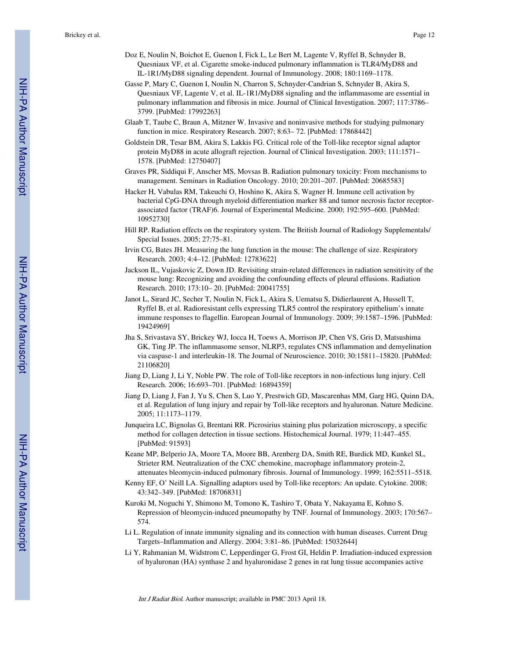- Doz E, Noulin N, Boichot E, Guenon I, Fick L, Le Bert M, Lagente V, Ryffel B, Schnyder B, Quesniaux VF, et al. Cigarette smoke-induced pulmonary inflammation is TLR4/MyD88 and IL-1R1/MyD88 signaling dependent. Journal of Immunology. 2008; 180:1169–1178.
- Gasse P, Mary C, Guenon I, Noulin N, Charron S, Schnyder-Candrian S, Schnyder B, Akira S, Quesniaux VF, Lagente V, et al. IL-1R1/MyD88 signaling and the inflammasome are essential in pulmonary inflammation and fibrosis in mice. Journal of Clinical Investigation. 2007; 117:3786– 3799. [PubMed: 17992263]
- Glaab T, Taube C, Braun A, Mitzner W. Invasive and noninvasive methods for studying pulmonary function in mice. Respiratory Research. 2007; 8:63– 72. [PubMed: 17868442]
- Goldstein DR, Tesar BM, Akira S, Lakkis FG. Critical role of the Toll-like receptor signal adaptor protein MyD88 in acute allograft rejection. Journal of Clinical Investigation. 2003; 111:1571– 1578. [PubMed: 12750407]
- Graves PR, Siddiqui F, Anscher MS, Movsas B. Radiation pulmonary toxicity: From mechanisms to management. Seminars in Radiation Oncology. 2010; 20:201–207. [PubMed: 20685583]
- Hacker H, Vabulas RM, Takeuchi O, Hoshino K, Akira S, Wagner H. Immune cell activation by bacterial CpG-DNA through myeloid differentiation marker 88 and tumor necrosis factor receptorassociated factor (TRAF)6. Journal of Experimental Medicine. 2000; 192:595–600. [PubMed: 10952730]
- Hill RP. Radiation effects on the respiratory system. The British Journal of Radiology Supplementals/ Special Issues. 2005; 27:75–81.
- Irvin CG, Bates JH. Measuring the lung function in the mouse: The challenge of size. Respiratory Research. 2003; 4:4–12. [PubMed: 12783622]
- Jackson IL, Vujaskovic Z, Down JD. Revisiting strain-related differences in radiation sensitivity of the mouse lung: Recognizing and avoiding the confounding effects of pleural effusions. Radiation Research. 2010; 173:10– 20. [PubMed: 20041755]
- Janot L, Sirard JC, Secher T, Noulin N, Fick L, Akira S, Uematsu S, Didierlaurent A, Hussell T, Ryffel B, et al. Radioresistant cells expressing TLR5 control the respiratory epithelium's innate immune responses to flagellin. European Journal of Immunology. 2009; 39:1587–1596. [PubMed: 19424969]
- Jha S, Srivastava SY, Brickey WJ, Iocca H, Toews A, Morrison JP, Chen VS, Gris D, Matsushima GK, Ting JP. The inflammasome sensor, NLRP3, regulates CNS inflammation and demyelination via caspase-1 and interleukin-18. The Journal of Neuroscience. 2010; 30:15811–15820. [PubMed: 21106820]
- Jiang D, Liang J, Li Y, Noble PW. The role of Toll-like receptors in non-infectious lung injury. Cell Research. 2006; 16:693–701. [PubMed: 16894359]
- Jiang D, Liang J, Fan J, Yu S, Chen S, Luo Y, Prestwich GD, Mascarenhas MM, Garg HG, Quinn DA, et al. Regulation of lung injury and repair by Toll-like receptors and hyaluronan. Nature Medicine. 2005; 11:1173–1179.
- Junqueira LC, Bignolas G, Brentani RR. Picrosirius staining plus polarization microscopy, a specific method for collagen detection in tissue sections. Histochemical Journal. 1979; 11:447–455. [PubMed: 91593]
- Keane MP, Belperio JA, Moore TA, Moore BB, Arenberg DA, Smith RE, Burdick MD, Kunkel SL, Strieter RM. Neutralization of the CXC chemokine, macrophage inflammatory protein-2, attenuates bleomycin-induced pulmonary fibrosis. Journal of Immunology. 1999; 162:5511–5518.
- Kenny EF, O' Neill LA. Signalling adaptors used by Toll-like receptors: An update. Cytokine. 2008; 43:342–349. [PubMed: 18706831]
- Kuroki M, Noguchi Y, Shimono M, Tomono K, Tashiro T, Obata Y, Nakayama E, Kohno S. Repression of bleomycin-induced pneumopathy by TNF. Journal of Immunology. 2003; 170:567– 574.
- Li L. Regulation of innate immunity signaling and its connection with human diseases. Current Drug Targets–Inflammation and Allergy. 2004; 3:81–86. [PubMed: 15032644]
- Li Y, Rahmanian M, Widstrom C, Lepperdinger G, Frost GI, Heldin P. Irradiation-induced expression of hyaluronan (HA) synthase 2 and hyaluronidase 2 genes in rat lung tissue accompanies active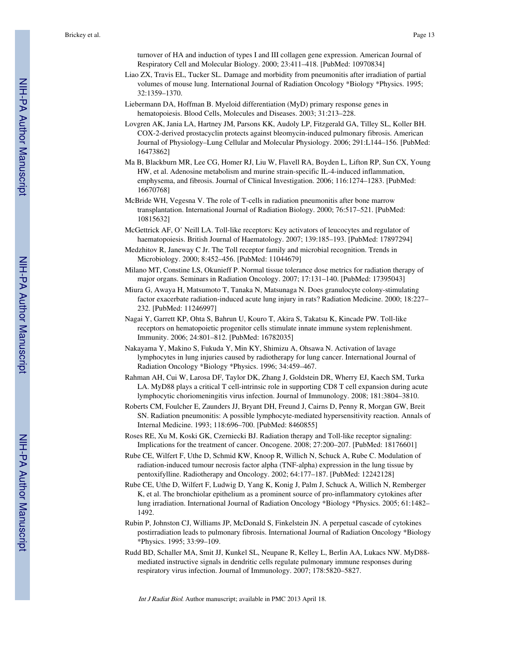turnover of HA and induction of types I and III collagen gene expression. American Journal of Respiratory Cell and Molecular Biology. 2000; 23:411–418. [PubMed: 10970834]

- Liao ZX, Travis EL, Tucker SL. Damage and morbidity from pneumonitis after irradiation of partial volumes of mouse lung. International Journal of Radiation Oncology \*Biology \*Physics. 1995; 32:1359–1370.
- Liebermann DA, Hoffman B. Myeloid differentiation (MyD) primary response genes in hematopoiesis. Blood Cells, Molecules and Diseases. 2003; 31:213–228.
- Lovgren AK, Jania LA, Hartney JM, Parsons KK, Audoly LP, Fitzgerald GA, Tilley SL, Koller BH. COX-2-derived prostacyclin protects against bleomycin-induced pulmonary fibrosis. American Journal of Physiology–Lung Cellular and Molecular Physiology. 2006; 291:L144–156. [PubMed: 16473862]
- Ma B, Blackburn MR, Lee CG, Homer RJ, Liu W, Flavell RA, Boyden L, Lifton RP, Sun CX, Young HW, et al. Adenosine metabolism and murine strain-specific IL-4-induced inflammation, emphysema, and fibrosis. Journal of Clinical Investigation. 2006; 116:1274–1283. [PubMed: 16670768]
- McBride WH, Vegesna V. The role of T-cells in radiation pneumonitis after bone marrow transplantation. International Journal of Radiation Biology. 2000; 76:517–521. [PubMed: 10815632]
- McGettrick AF, O' Neill LA. Toll-like receptors: Key activators of leucocytes and regulator of haematopoiesis. British Journal of Haematology. 2007; 139:185–193. [PubMed: 17897294]
- Medzhitov R, Janeway C Jr. The Toll receptor family and microbial recognition. Trends in Microbiology. 2000; 8:452–456. [PubMed: 11044679]
- Milano MT, Constine LS, Okunieff P. Normal tissue tolerance dose metrics for radiation therapy of major organs. Seminars in Radiation Oncology. 2007; 17:131–140. [PubMed: 17395043]
- Miura G, Awaya H, Matsumoto T, Tanaka N, Matsunaga N. Does granulocyte colony-stimulating factor exacerbate radiation-induced acute lung injury in rats? Radiation Medicine. 2000; 18:227– 232. [PubMed: 11246997]
- Nagai Y, Garrett KP, Ohta S, Bahrun U, Kouro T, Akira S, Takatsu K, Kincade PW. Toll-like receptors on hematopoietic progenitor cells stimulate innate immune system replenishment. Immunity. 2006; 24:801–812. [PubMed: 16782035]
- Nakayama Y, Makino S, Fukuda Y, Min KY, Shimizu A, Ohsawa N. Activation of lavage lymphocytes in lung injuries caused by radiotherapy for lung cancer. International Journal of Radiation Oncology \*Biology \*Physics. 1996; 34:459–467.
- Rahman AH, Cui W, Larosa DF, Taylor DK, Zhang J, Goldstein DR, Wherry EJ, Kaech SM, Turka LA. MyD88 plays a critical T cell-intrinsic role in supporting CD8 T cell expansion during acute lymphocytic choriomeningitis virus infection. Journal of Immunology. 2008; 181:3804–3810.
- Roberts CM, Foulcher E, Zaunders JJ, Bryant DH, Freund J, Cairns D, Penny R, Morgan GW, Breit SN. Radiation pneumonitis: A possible lymphocyte-mediated hypersensitivity reaction. Annals of Internal Medicine. 1993; 118:696–700. [PubMed: 8460855]
- Roses RE, Xu M, Koski GK, Czerniecki BJ. Radiation therapy and Toll-like receptor signaling: Implications for the treatment of cancer. Oncogene. 2008; 27:200–207. [PubMed: 18176601]
- Rube CE, Wilfert F, Uthe D, Schmid KW, Knoop R, Willich N, Schuck A, Rube C. Modulation of radiation-induced tumour necrosis factor alpha (TNF-alpha) expression in the lung tissue by pentoxifylline. Radiotherapy and Oncology. 2002; 64:177–187. [PubMed: 12242128]
- Rube CE, Uthe D, Wilfert F, Ludwig D, Yang K, Konig J, Palm J, Schuck A, Willich N, Remberger K, et al. The bronchiolar epithelium as a prominent source of pro-inflammatory cytokines after lung irradiation. International Journal of Radiation Oncology \*Biology \*Physics. 2005; 61:1482– 1492.
- Rubin P, Johnston CJ, Williams JP, McDonald S, Finkelstein JN. A perpetual cascade of cytokines postirradiation leads to pulmonary fibrosis. International Journal of Radiation Oncology \*Biology \*Physics. 1995; 33:99–109.
- Rudd BD, Schaller MA, Smit JJ, Kunkel SL, Neupane R, Kelley L, Berlin AA, Lukacs NW. MyD88 mediated instructive signals in dendritic cells regulate pulmonary immune responses during respiratory virus infection. Journal of Immunology. 2007; 178:5820–5827.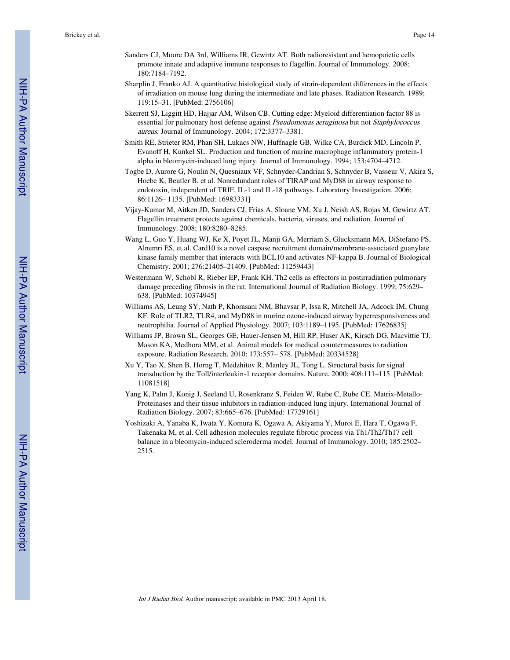- Sanders CJ, Moore DA 3rd, Williams IR, Gewirtz AT. Both radioresistant and hemopoietic cells promote innate and adaptive immune responses to flagellin. Journal of Immunology. 2008; 180:7184–7192.
- Sharplin J, Franko AJ. A quantitative histological study of strain-dependent differences in the effects of irradiation on mouse lung during the intermediate and late phases. Radiation Research. 1989; 119:15–31. [PubMed: 2756106]
- Skerrett SJ, Liggitt HD, Hajjar AM, Wilson CB. Cutting edge: Myeloid differentiation factor 88 is essential for pulmonary host defense against Pseudomonas aeruginosa but not Staphylococcus aureus. Journal of Immunology. 2004; 172:3377–3381.
- Smith RE, Strieter RM, Phan SH, Lukacs NW, Huffnagle GB, Wilke CA, Burdick MD, Lincoln P, Evanoff H, Kunkel SL. Production and function of murine macrophage inflammatory protein-1 alpha in bleomycin-induced lung injury. Journal of Immunology. 1994; 153:4704–4712.
- Togbe D, Aurore G, Noulin N, Quesniaux VF, Schnyder-Candrian S, Schnyder B, Vasseur V, Akira S, Hoebe K, Beutler B, et al. Nonredundant roles of TIRAP and MyD88 in airway response to endotoxin, independent of TRIF, IL-1 and IL-18 pathways. Laboratory Investigation. 2006; 86:1126– 1135. [PubMed: 16983331]
- Vijay-Kumar M, Aitken JD, Sanders CJ, Frias A, Sloane VM, Xu J, Neish AS, Rojas M, Gewirtz AT. Flagellin treatment protects against chemicals, bacteria, viruses, and radiation. Journal of Immunology. 2008; 180:8280–8285.
- Wang L, Guo Y, Huang WJ, Ke X, Poyet JL, Manji GA, Merriam S, Glucksmann MA, DiStefano PS, Alnemri ES, et al. Card10 is a novel caspase recruitment domain/membrane-associated guanylate kinase family member that interacts with BCL10 and activates NF-kappa B. Journal of Biological Chemistry. 2001; 276:21405–21409. [PubMed: 11259443]
- Westermann W, Schobl R, Rieber EP, Frank KH. Th2 cells as effectors in postirradiation pulmonary damage preceding fibrosis in the rat. International Journal of Radiation Biology. 1999; 75:629– 638. [PubMed: 10374945]
- Williams AS, Leung SY, Nath P, Khorasani NM, Bhavsar P, Issa R, Mitchell JA, Adcock IM, Chung KF. Role of TLR2, TLR4, and MyD88 in murine ozone-induced airway hyperresponsiveness and neutrophilia. Journal of Applied Physiology. 2007; 103:1189–1195. [PubMed: 17626835]
- Williams JP, Brown SL, Georges GE, Hauer-Jensen M, Hill RP, Huser AK, Kirsch DG, Macvittie TJ, Mason KA, Medhora MM, et al. Animal models for medical countermeasures to radiation exposure. Radiation Research. 2010; 173:557– 578. [PubMed: 20334528]
- Xu Y, Tao X, Shen B, Horng T, Medzhitov R, Manley JL, Tong L. Structural basis for signal transduction by the Toll/interleukin-1 receptor domains. Nature. 2000; 408:111–115. [PubMed: 11081518]
- Yang K, Palm J, Konig J, Seeland U, Rosenkranz S, Feiden W, Rube C, Rube CE. Matrix-Metallo-Proteinases and their tissue inhibitors in radiation-induced lung injury. International Journal of Radiation Biology. 2007; 83:665–676. [PubMed: 17729161]
- Yoshizaki A, Yanaba K, Iwata Y, Komura K, Ogawa A, Akiyama Y, Muroi E, Hara T, Ogawa F, Takenaka M, et al. Cell adhesion molecules regulate fibrotic process via Th1/Th2/Th17 cell balance in a bleomycin-induced scleroderma model. Journal of Immunology. 2010; 185:2502– 2515.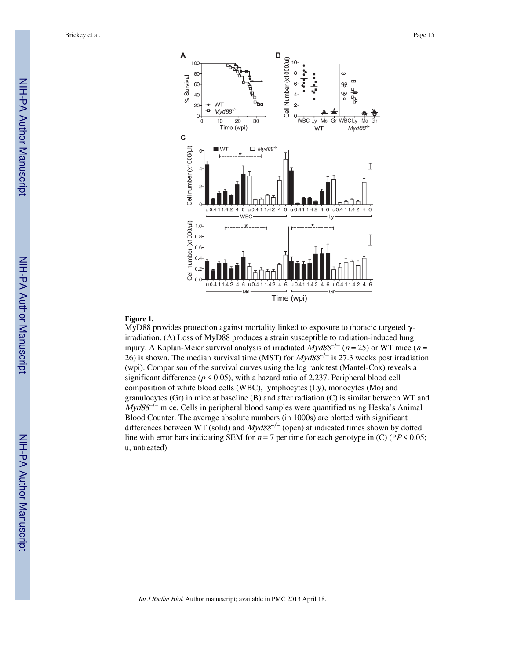

#### **Figure 1.**

MyD88 provides protection against mortality linked to exposure to thoracic targeted  $γ$ irradiation. (A) Loss of MyD88 produces a strain susceptible to radiation-induced lung injury. A Kaplan-Meier survival analysis of irradiated  $Myd88^{-/-}$  (n = 25) or WT mice (n = 26) is shown. The median survival time (MST) for  $Myd88^{-/-}$  is 27.3 weeks post irradiation (wpi). Comparison of the survival curves using the log rank test (Mantel-Cox) reveals a significant difference ( $p \le 0.05$ ), with a hazard ratio of 2.237. Peripheral blood cell composition of white blood cells (WBC), lymphocytes (Ly), monocytes (Mo) and granulocytes (Gr) in mice at baseline (B) and after radiation (C) is similar between WT and  $Myd88<sup>-/-</sup>$  mice. Cells in peripheral blood samples were quantified using Heska's Animal Blood Counter. The average absolute numbers (in 1000s) are plotted with significant differences between WT (solid) and  $Myd88^{-/-}$  (open) at indicated times shown by dotted line with error bars indicating SEM for  $n = 7$  per time for each genotype in (C) (\* $P < 0.05$ ; u, untreated).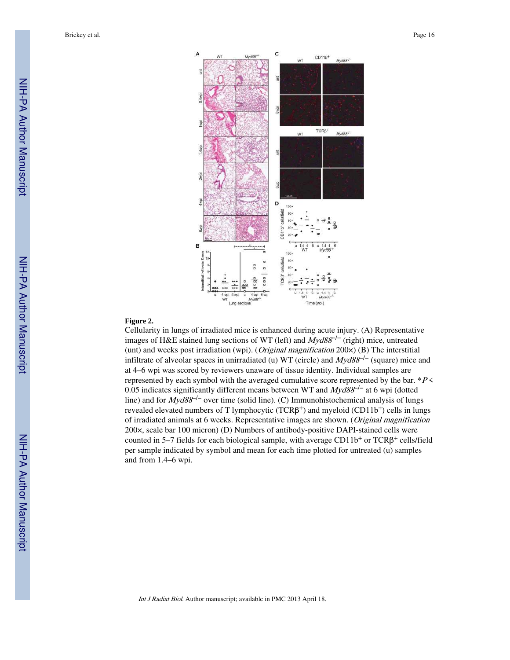Brickey et al. Page 16



#### **Figure 2.**

Cellularity in lungs of irradiated mice is enhanced during acute injury. (A) Representative images of H&E stained lung sections of WT (left) and Myd88<sup>-/−</sup> (right) mice, untreated (unt) and weeks post irradiation (wpi). (Original magnification 200×) (B) The interstitial infiltrate of alveolar spaces in unirradiated (u) WT (circle) and  $Myd88^{-/-}$  (square) mice and at 4–6 wpi was scored by reviewers unaware of tissue identity. Individual samples are represented by each symbol with the averaged cumulative score represented by the bar.  $*P$  < 0.05 indicates significantly different means between WT and  $Myd88^{-/-}$  at 6 wpi (dotted line) and for  $Myd88<sup>-/-</sup>$  over time (solid line). (C) Immunohistochemical analysis of lungs revealed elevated numbers of T lymphocytic  $(TCR\beta^+)$  and myeloid  $(CD11b^+)$  cells in lungs of irradiated animals at 6 weeks. Representative images are shown. (Original magnification 200×, scale bar 100 micron) (D) Numbers of antibody-positive DAPI-stained cells were counted in 5-7 fields for each biological sample, with average CD11b<sup>+</sup> or TCRβ<sup>+</sup> cells/field per sample indicated by symbol and mean for each time plotted for untreated (u) samples and from 1.4–6 wpi.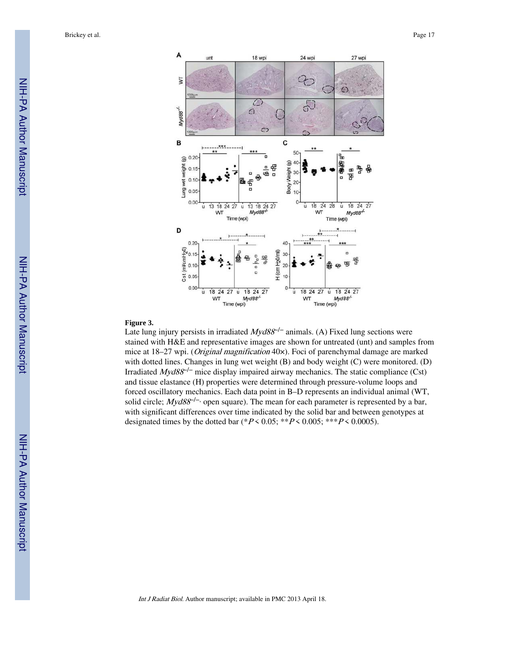

#### **Figure 3.**

Late lung injury persists in irradiated  $Myd88^{-/-}$  animals. (A) Fixed lung sections were stained with H&E and representative images are shown for untreated (unt) and samples from mice at 18–27 wpi. (*Original magnification* 40×). Foci of parenchymal damage are marked with dotted lines. Changes in lung wet weight (B) and body weight (C) were monitored. (D) Irradiated  $Myd88<sup>-/-</sup>$  mice display impaired airway mechanics. The static compliance (Cst) and tissue elastance (H) properties were determined through pressure-volume loops and forced oscillatory mechanics. Each data point in B–D represents an individual animal (WT, solid circle;  $Myd88^{-/-}$ , open square). The mean for each parameter is represented by a bar, with significant differences over time indicated by the solid bar and between genotypes at designated times by the dotted bar (\* $P \le 0.05$ ; \*\* $P \le 0.005$ ; \*\*\* $P \le 0.0005$ ).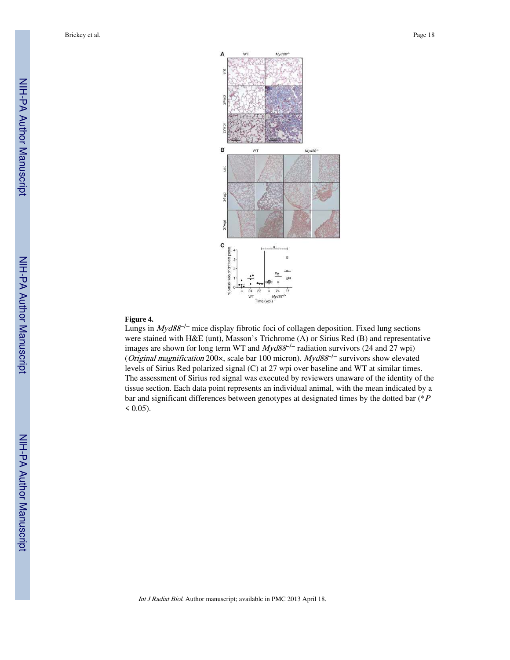

#### **Figure 4.**

Lungs in  $Myd88^{-/-}$  mice display fibrotic foci of collagen deposition. Fixed lung sections were stained with H&E (unt), Masson's Trichrome (A) or Sirius Red (B) and representative images are shown for long term WT and  $Myd88^{-/-}$  radiation survivors (24 and 27 wpi) (*Original magnification* 200 $\times$ , scale bar 100 micron). Myd88<sup>-/-</sup> survivors show elevated levels of Sirius Red polarized signal (C) at 27 wpi over baseline and WT at similar times. The assessment of Sirius red signal was executed by reviewers unaware of the identity of the tissue section. Each data point represents an individual animal, with the mean indicated by a bar and significant differences between genotypes at designated times by the dotted bar (\*<sup>P</sup>  $< 0.05$ ).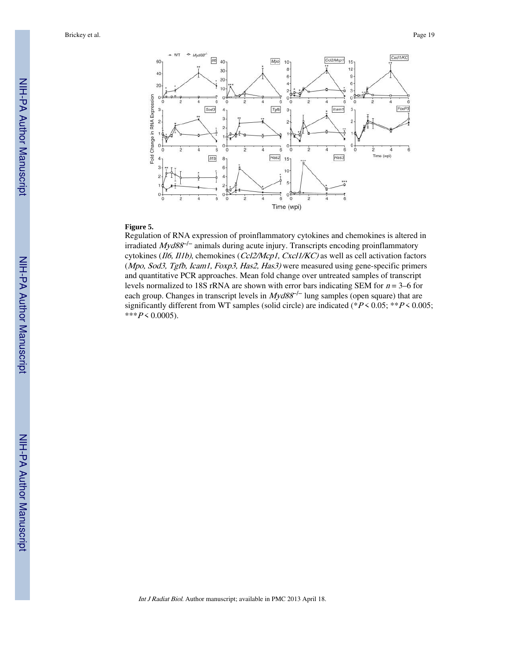Brickey et al. Page 19



#### **Figure 5.**

Regulation of RNA expression of proinflammatory cytokines and chemokines is altered in irradiated  $Myd88^{-/-}$  animals during acute injury. Transcripts encoding proinflammatory cytokines (Il6, Il1b), chemokines (Ccl2/Mcp1, Cxcl1/KC) as well as cell activation factors (Mpo, Sod3, Tgfb, Icam1, Foxp3, Has2, Has3) were measured using gene-specific primers and quantitative PCR approaches. Mean fold change over untreated samples of transcript levels normalized to 18S rRNA are shown with error bars indicating SEM for  $n = 3-6$  for each group. Changes in transcript levels in  $Myd88^{-/-}$  lung samples (open square) that are significantly different from WT samples (solid circle) are indicated (\* $P \le 0.05$ ; \*\* $P \le 0.005$ ;  $***P<sub>0.0005</sub>$ .